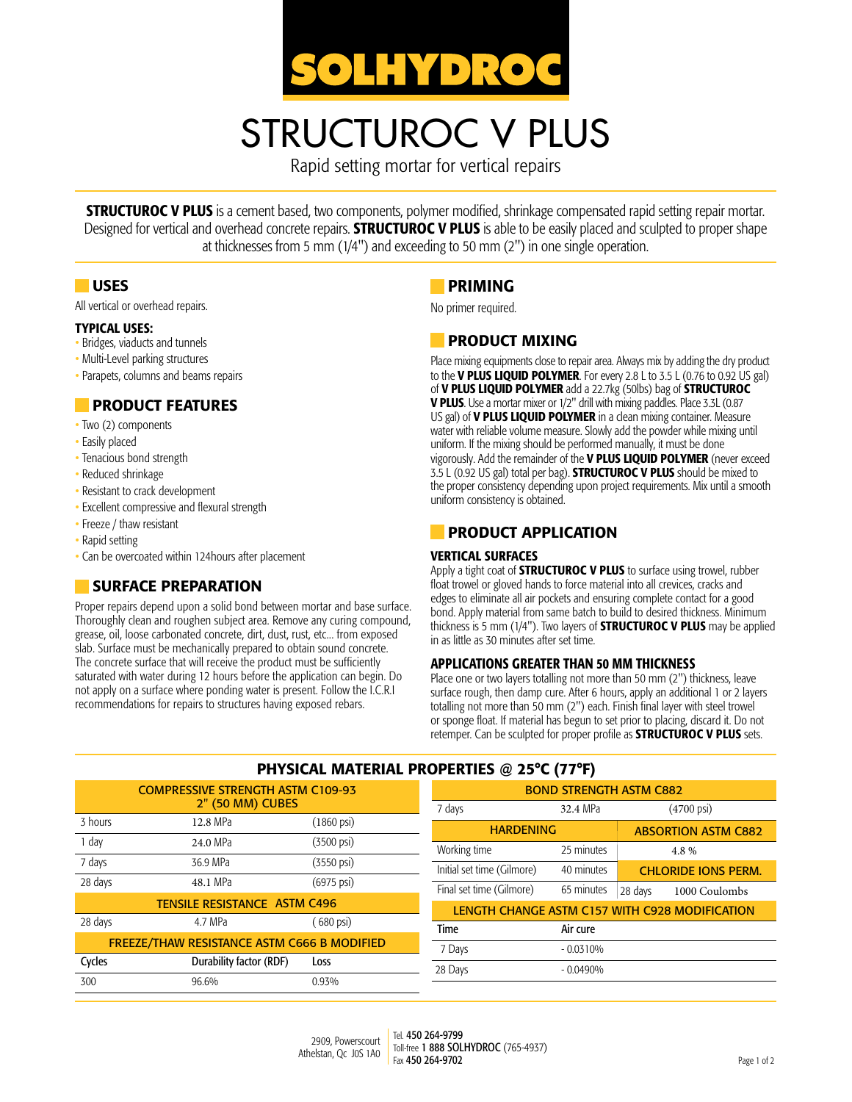

# STRUCTUROC V PLUS

Rapid setting mortar for vertical repairs

**STRUCTUROC V PLUS** is a cement based, two components, polymer modified, shrinkage compensated rapid setting repair mortar. Designed for vertical and overhead concrete repairs. **STRUCTUROC V PLUS** is able to be easily placed and sculpted to proper shape at thicknesses from 5 mm (1/4") and exceeding to 50 mm (2") in one single operation.

#### **USES**

All vertical or overhead repairs.

#### Typical Uses:

- Bridges, viaducts and tunnels
- Multi-Level parking structures
- Parapets, columns and beams repairs

#### **PRODUCT FEATURES**

- Two (2) components
- Easily placed
- Tenacious bond strength
- Reduced shrinkage
- Resistant to crack development
- Excellent compressive and flexural strength
- Freeze / thaw resistant
- Rapid setting
- Can be overcoated within 124hours after placement

#### SURFACE PREPARATION

Proper repairs depend upon a solid bond between mortar and base surface. Thoroughly clean and roughen subject area. Remove any curing compound, grease, oil, loose carbonated concrete, dirt, dust, rust, etc... from exposed slab. Surface must be mechanically prepared to obtain sound concrete. The concrete surface that will receive the product must be sufficiently saturated with water during 12 hours before the application can begin. Do not apply on a surface where ponding water is present. Follow the I.C.R.I recommendations for repairs to structures having exposed rebars.

# PRIMING

No primer required.

#### **PRODUCT MIXING**

Place mixing equipments close to repair area. Always mix by adding the dry product to the **V PLUS LIQUID POLYMER**. For every 2.8 L to 3.5 L (0.76 to 0.92 US gal) of V PLUS LIQUID POLYMER add a 22.7kg (50lbs) bag of STRUCTUROC **V PLUS**. Use a mortar mixer or 1/2" drill with mixing paddles. Place 3.3L (0.87 US gal) of **V PLUS LIQUID POLYMER** in a clean mixing container. Measure water with reliable volume measure. Slowly add the powder while mixing until uniform. If the mixing should be performed manually, it must be done vigorously. Add the remainder of the **V PLUS LIQUID POLYMER** (never exceed 3.5 L (0.92 US gal) total per bag). **STRUCTUROC V PLUS** should be mixed to the proper consistency depending upon project requirements. Mix until a smooth uniform consistency is obtained.

## **PRODUCT APPLICATION**

#### Vertical surfaces

Apply a tight coat of **STRUCTUROC V PLUS** to surface using trowel, rubber float trowel or gloved hands to force material into all crevices, cracks and edges to eliminate all air pockets and ensuring complete contact for a good bond. Apply material from same batch to build to desired thickness. Minimum thickness is 5 mm (1/4"). Two layers of **STRUCTUROC V PLUS** may be applied in as little as 30 minutes after set time.

#### Applications greater than 50 mm thickness

Place one or two layers totalling not more than 50 mm (2") thickness, leave surface rough, then damp cure. After 6 hours, apply an additional 1 or 2 layers totalling not more than 50 mm (2") each. Finish final layer with steel trowel or sponge float. If material has begun to set prior to placing, discard it. Do not retemper. Can be sculpted for proper profile as **STRUCTUROC V PLUS** sets.

| PHYSICAL MATERIAL PROPERTIES @ 25°C (77°F)         |                         |                         |                                                |                       |                            |  |
|----------------------------------------------------|-------------------------|-------------------------|------------------------------------------------|-----------------------|----------------------------|--|
| <b>COMPRESSIVE STRENGTH ASTM C109-93</b>           |                         |                         | <b>BOND STRENGTH ASTM C882</b>                 |                       |                            |  |
| 2" (50 MM) CUBES                                   |                         | 7 days                  | 32.4 MPa                                       | $(4700 \,\text{psi})$ |                            |  |
| 3 hours                                            | 12.8 MPa                | $(1860 \,\mathrm{psi})$ | <b>HARDENING</b><br><b>ABSORTION ASTM C882</b> |                       |                            |  |
| 1 day                                              | 24.0 MPa                | $(3500 \text{ psi})$    | Working time                                   | 25 minutes            | 4.8%                       |  |
| 7 days                                             | 36.9 MPa                | $(3550 \,\text{psi})$   | Initial set time (Gilmore)                     | 40 minutes            | <b>CHLORIDE IONS PERM.</b> |  |
| 28 days                                            | 48.1 MPa                | $(6975 \,\mathrm{psi})$ | Final set time (Gilmore)                       | 65 minutes            | 1000 Coulombs<br>28 days   |  |
| <b>TENSILE RESISTANCE ASTM C496</b>                |                         |                         | LENGTH CHANGE ASTM C157 WITH C928 MODIFICATION |                       |                            |  |
| 28 days                                            | 4.7 MPa                 | $(680 \text{ psi})$     | Time                                           | Air cure              |                            |  |
| <b>FREEZE/THAW RESISTANCE ASTM C666 B MODIFIED</b> |                         |                         | 7 Days                                         | $-0.0310%$            |                            |  |
| Cycles                                             | Durability factor (RDF) | Loss                    | 28 Days                                        | $-0.0490%$            |                            |  |
| 300                                                | 96.6%                   | 0.93%                   |                                                |                       |                            |  |